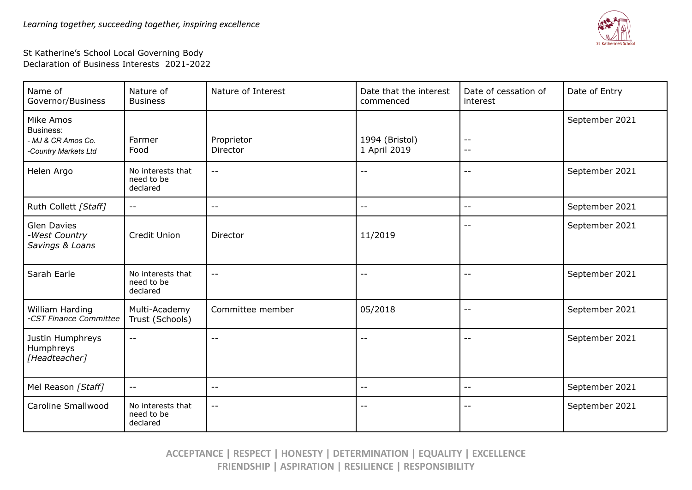

## St Katherine's School Local Governing Body Declaration of Business Interests 2021-2022

| Name of<br>Governor/Business                           | Nature of<br><b>Business</b>                | Nature of Interest       | Date that the interest<br>commenced | Date of cessation of<br>interest | Date of Entry  |
|--------------------------------------------------------|---------------------------------------------|--------------------------|-------------------------------------|----------------------------------|----------------|
| Mike Amos<br>Business:                                 |                                             |                          |                                     |                                  | September 2021 |
| - MJ & CR Amos Co.<br>-Country Markets Ltd             | Farmer<br>Food                              | Proprietor<br>Director   | 1994 (Bristol)<br>1 April 2019      | $- -$<br>$- -$                   |                |
| Helen Argo                                             | No interests that<br>need to be<br>declared | $\sim$ $-$               | $ -$                                | $-$                              | September 2021 |
| Ruth Collett [Staff]                                   | $ -$                                        | $\overline{\phantom{m}}$ | $- -$                               | $- -$                            | September 2021 |
| <b>Glen Davies</b><br>-West Country<br>Savings & Loans | Credit Union                                | Director                 | 11/2019                             | $- -$                            | September 2021 |
| Sarah Earle                                            | No interests that<br>need to be<br>declared | $\overline{\phantom{m}}$ | $- -$                               | --                               | September 2021 |
| William Harding<br>-CST Finance Committee              | Multi-Academy<br>Trust (Schools)            | Committee member         | 05/2018                             | $ -$                             | September 2021 |
| Justin Humphreys<br>Humphreys<br>[Headteacher]         | $\overline{\phantom{a}}$ .                  | $ -$                     | $ -$                                | $\qquad \qquad -$                | September 2021 |
| Mel Reason [Staff]                                     | $ -$                                        | $- -$                    | $- -$                               | --                               | September 2021 |
| Caroline Smallwood                                     | No interests that<br>need to be<br>declared | $\qquad \qquad -$        | $\qquad \qquad -$                   | $\qquad \qquad -$                | September 2021 |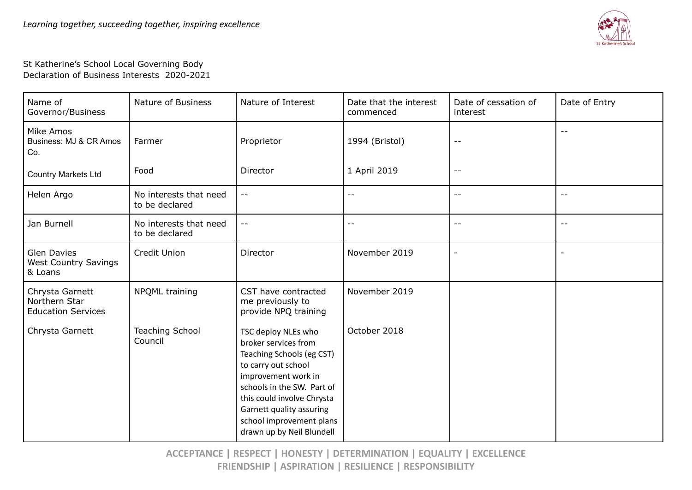

St Katherine's School Local Governing Body Declaration of Business Interests 2020-2021

| Name of<br>Governor/Business                                  | Nature of Business                       | Nature of Interest                                                                                                                                                                                                                                                      | Date that the interest<br>commenced | Date of cessation of<br>interest | Date of Entry |
|---------------------------------------------------------------|------------------------------------------|-------------------------------------------------------------------------------------------------------------------------------------------------------------------------------------------------------------------------------------------------------------------------|-------------------------------------|----------------------------------|---------------|
| Mike Amos<br>Business: MJ & CR Amos<br>Co.                    | Farmer                                   | Proprietor                                                                                                                                                                                                                                                              | 1994 (Bristol)                      | $\sim$ $\sim$                    | $-$           |
| <b>Country Markets Ltd</b>                                    | Food                                     | Director                                                                                                                                                                                                                                                                | 1 April 2019                        | $\sim$ $-$                       |               |
| Helen Argo                                                    | No interests that need<br>to be declared | --                                                                                                                                                                                                                                                                      | $- -$                               | $\qquad \qquad -$                | $- -$         |
| Jan Burnell                                                   | No interests that need<br>to be declared | --                                                                                                                                                                                                                                                                      | $- -$                               | $\sim$ $\sim$                    | $-$           |
| <b>Glen Davies</b><br><b>West Country Savings</b><br>& Loans  | Credit Union                             | Director                                                                                                                                                                                                                                                                | November 2019                       | $\overline{\phantom{a}}$         |               |
| Chrysta Garnett<br>Northern Star<br><b>Education Services</b> | NPQML training                           | CST have contracted<br>me previously to<br>provide NPQ training                                                                                                                                                                                                         | November 2019                       |                                  |               |
| Chrysta Garnett                                               | <b>Teaching School</b><br>Council        | TSC deploy NLEs who<br>broker services from<br>Teaching Schools (eg CST)<br>to carry out school<br>improvement work in<br>schools in the SW. Part of<br>this could involve Chrysta<br>Garnett quality assuring<br>school improvement plans<br>drawn up by Neil Blundell | October 2018                        |                                  |               |

**ACCEPTANCE | RESPECT | HONESTY | DETERMINATION | EQUALITY | EXCELLENCE FRIENDSHIP | ASPIRATION | RESILIENCE | RESPONSIBILITY**